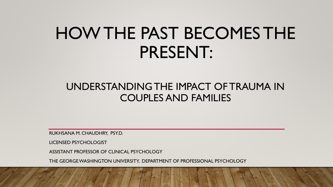# HOW THE PAST BECOMES THE PRESENT:

#### UNDERSTANDING THE IMPACT OF TRAUMA IN COUPLES AND FAMILIES

RUKHSANA M. CHAUDHRY, PSY.D.

LICENSED PSYCHOLOGIST

ASSISTANT PROFESSOR OF CLINICAL PSYCHOLOGY

THE GEORGE WASHINGTON UNIVERSITY, DEPARTMENT OF PROFESSIONAL PSYCHOLOGY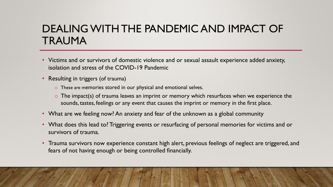### DEALING WITH THE PANDEMIC AND IMPACT OF TRAUMA

- Victims and or survivors of domestic violence and or sexual assault experience added anxiety, isolation and stress of the COVID-19 Pandemic
- Resulting in triggers (of trauma)
	- o These are memories stored in our physical and emotional selves.
	- o The impact(s) of trauma leaves an imprint or memory which resurfaces when we experience the sounds, tastes, feelings or any event that causes the imprint or memory in the first place.
- What are we feeling now? An anxiety and fear of the unknown as a global community
- What does this lead to? Triggering events or resurfacing of personal memories for victims and or survivors of trauma.
- Trauma survivors now experience constant high alert, previous feelings of neglect are triggered, and fears of not having enough or being controlled financially.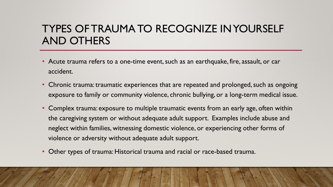# TYPES OF TRAUMA TO RECOGNIZE IN YOURSELF AND OTHERS

- Acute trauma refers to a one-time event, such as an earthquake, fire, assault, or car accident.
- Chronic trauma: traumatic experiences that are repeated and prolonged, such as ongoing exposure to family or community violence, chronic bullying, or a long-term medical issue.
- Complex trauma: exposure to multiple traumatic events from an early age, often within the caregiving system or without adequate adult support. Examples include abuse and neglect within families, witnessing domestic violence, or experiencing other forms of violence or adversity without adequate adult support.
- Other types of trauma: Historical trauma and racial or race-based trauma.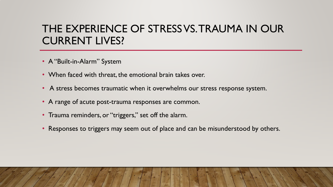# THE EXPERIENCE OF STRESS VS. TRAUMA IN OUR CURRENT LIVES?

- A "Built-in-Alarm" System
- When faced with threat, the emotional brain takes over.
- A stress becomes traumatic when it overwhelms our stress response system.
- A range of acute post-trauma responses are common.
- Trauma reminders, or "triggers," set off the alarm.
- Responses to triggers may seem out of place and can be misunderstood by others.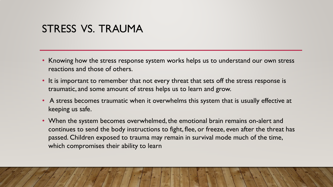#### STRESS VS. TRAUMA

- Knowing how the stress response system works helps us to understand our own stress reactions and those of others.
- It is important to remember that not every threat that sets off the stress response is traumatic, and some amount of stress helps us to learn and grow.
- A stress becomes traumatic when it overwhelms this system that is usually effective at keeping us safe.
- When the system becomes overwhelmed, the emotional brain remains on-alert and continues to send the body instructions to fight, flee, or freeze, even after the threat has passed. Children exposed to trauma may remain in survival mode much of the time, which compromises their ability to learn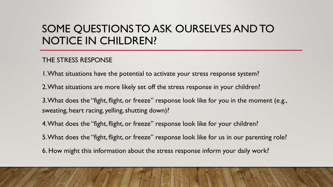# SOME QUESTIONS TO ASK OURSELVES AND TO NOTICE IN CHILDREN?

#### THE STRESS RESPONSE

1. What situations have the potential to activate your stress response system?

2. What situations are more likely set off the stress response in your children?

3. What does the "fight, flight, or freeze" response look like for you in the moment (e.g., sweating, heart racing, yelling, shutting down)?

4. What does the "fight, flight, or freeze" response look like for your children?

5. What does the "fight, flight, or freeze" response look like for us in our parenting role?

6. How might this information about the stress response inform your daily work?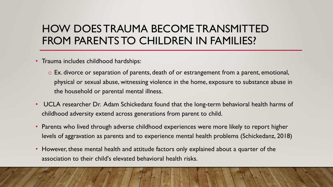# HOW DOES TRAUMA BECOME TRANSMITTED FROM PARENTS TO CHILDREN IN FAMILIES?

- Trauma includes childhood hardships:
	- o Ex. divorce or separation of parents, death of or estrangement from a parent, emotional, physical or sexual abuse, witnessing violence in the home, exposure to substance abuse in the household or parental mental illness.
- UCLA researcher Dr. Adam Schickedanz found that the long-term behavioral health harms of childhood adversity extend across generations from parent to child.
- Parents who lived through adverse childhood experiences were more likely to report higher levels of aggravation as parents and to experience mental health problems (Schickedanz, 2018)
- However, these mental health and attitude factors only explained about a quarter of the association to their child's elevated behavioral health risks.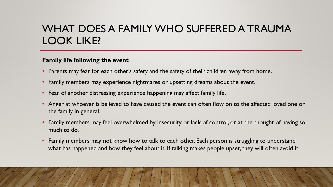# WHAT DOES A FAMILY WHO SUFFERED A TRAUMA LOOK LIKE?

#### **Family life following the event**

- Parents may fear for each other's safety and the safety of their children away from home.
- Family members may experience nightmares or upsetting dreams about the event.
- Fear of another distressing experience happening may affect family life.
- Anger at whoever is believed to have caused the event can often flow on to the affected loved one or the family in general.
- Family members may feel overwhelmed by insecurity or lack of control, or at the thought of having so much to do.
- Family members may not know how to talk to each other. Each person is struggling to understand what has happened and how they feel about it. If talking makes people upset, they will often avoid it.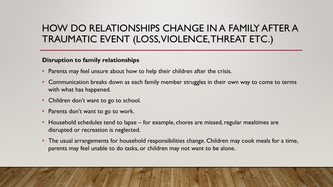#### HOW DO RELATIONSHIPS CHANGE IN A FAMILY AFTER A TRAUMATIC EVENT (LOSS, VIOLENCE, THREAT ETC.)

#### **Disruption to family relationships**

- Parents may feel unsure about how to help their children after the crisis.
- Communication breaks down as each family member struggles in their own way to come to terms with what has happened.
- Children don't want to go to school.
- Parents don't want to go to work.
- Household schedules tend to lapse for example, chores are missed, regular mealtimes are disrupted or recreation is neglected.
- The usual arrangements for household responsibilities change. Children may cook meals for a time, parents may feel unable to do tasks, or children may not want to be alone.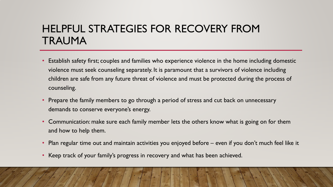# HELPFUL STRATEGIES FOR RECOVERY FROM TRAUMA

- Establish safety first; couples and families who experience violence in the home including domestic violence must seek counseling separately. It is paramount that a survivors of violence including children are safe from any future threat of violence and must be protected during the process of counseling.
- Prepare the family members to go through a period of stress and cut back on unnecessary demands to conserve everyone's energy.
- Communication: make sure each family member lets the others know what is going on for them and how to help them.
- Plan regular time out and maintain activities you enjoyed before even if you don't much feel like it
- Keep track of your family's progress in recovery and what has been achieved.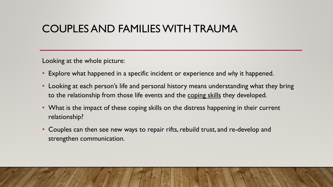#### COUPLES AND FAMILIES WITH TRAUMA

Looking at the whole picture:

- Explore what happened in a specific incident or experience and *why* it happened.
- Looking at each person's life and personal history means understanding what they bring to the relationship from those life events and the coping skills they developed.
- What is the impact of these coping skills on the distress happening in their current relationship?
- Couples can then see new ways to repair rifts, rebuild trust, and re-develop and strengthen communication.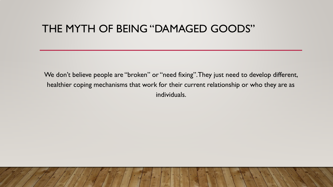#### THE MYTH OF BEING "DAMAGED GOODS"

We don't believe people are "broken" or "need fixing". They just need to develop different, healthier coping mechanisms that work for their current relationship or who they are as individuals.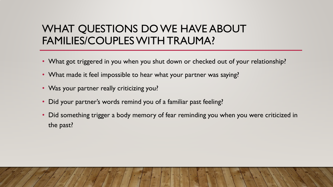# WHAT QUESTIONS DO WE HAVE ABOUT FAMILIES/COUPLES WITH TRAUMA?

- What got triggered in you when you shut down or checked out of your relationship?
- What made it feel impossible to hear what your partner was saying?
- Was your partner really criticizing you?
- Did your partner's words remind you of a familiar past feeling?
- Did something trigger a body memory of fear reminding you when you were criticized in the past?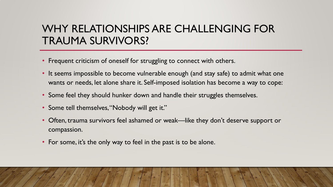# WHY RELATIONSHIPS ARE CHALLENGING FOR TRAUMA SURVIVORS?

- Frequent criticism of oneself for struggling to connect with others.
- It seems impossible to become vulnerable enough (and stay safe) to admit what one wants or needs, let alone share it. Self-imposed isolation has become a way to cope:
- Some feel they should hunker down and handle their struggles themselves.
- Some tell themselves, "Nobody will get it."
- Often, trauma survivors feel ashamed or weak—like they don't deserve support or compassion.
- For some, it's the only way to feel in the past is to be alone.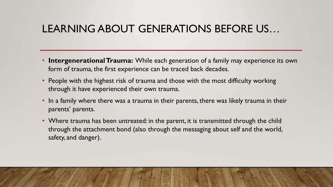# LEARNING ABOUT GENERATIONS BEFORE US…

- **Intergenerational Trauma:** While each generation of a family may experience its own form of trauma, the first experience can be traced back decades.
- People with the highest risk of trauma and those with the most difficulty working through it have experienced their own trauma.
- In a family where there was a trauma in their parents, there was likely trauma in their parents' parents.
- Where trauma has been untreated: in the parent, it is transmitted through the child through the attachment bond (also through the messaging about self and the world, safety, and danger).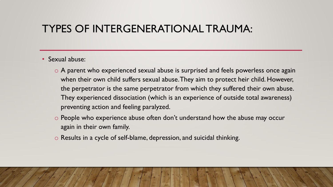#### TYPES OF INTERGENERATIONAL TRAUMA:

- Sexual abuse:
	- o A parent who experienced sexual abuse is surprised and feels powerless once again when their own child suffers sexual abuse. They aim to protect heir child. However, the perpetrator is the same perpetrator from which they suffered their own abuse. They experienced dissociation (which is an experience of outside total awareness) preventing action and feeling paralyzed.
	- o People who experience abuse often don't understand how the abuse may occur again in their own family.
	- o Results in a cycle of self-blame, depression, and suicidal thinking.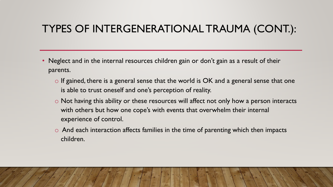# TYPES OF INTERGENERATIONAL TRAUMA (CONT.):

- Neglect and in the internal resources children gain or don't gain as a result of their parents.
	- $\circ$  If gained, there is a general sense that the world is OK and a general sense that one is able to trust oneself and one's perception of reality.
	- o Not having this ability or these resources will affect not only how a person interacts with others but how one cope's with events that overwhelm their internal experience of control.
	- $\circ$  And each interaction affects families in the time of parenting which then impacts children.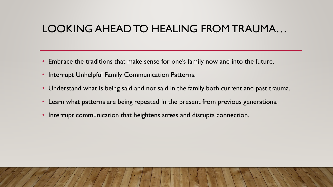# LOOKING AHEAD TO HEALING FROM TRAUMA…

- Embrace the traditions that make sense for one's family now and into the future.
- Interrupt Unhelpful Family Communication Patterns.
- Understand what is being said and not said in the family both current and past trauma.
- Learn what patterns are being repeated In the present from previous generations.
- Interrupt communication that heightens stress and disrupts connection.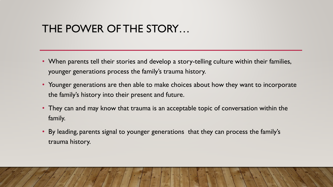## THE POWER OF THE STORY…

- When parents tell their stories and develop a story-telling culture within their families, younger generations process the family's trauma history.
- Younger generations are then able to make choices about how they want to incorporate the family's history into their present and future.
- They can and may know that trauma is an acceptable topic of conversation within the family.
- By leading, parents signal to younger generations that they can process the family's trauma history.